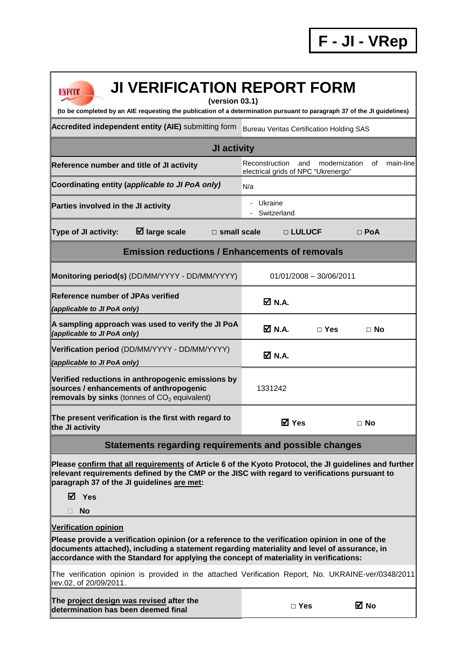| <b>JI VERIFICATION REPORT FORM</b><br><b>UNFCCC</b><br>(version 03.1)<br>(to be completed by an AIE requesting the publication of a determination pursuant to paragraph 37 of the JI guidelines)                                                                                         |                                                                                                  |                           |            |  |  |
|------------------------------------------------------------------------------------------------------------------------------------------------------------------------------------------------------------------------------------------------------------------------------------------|--------------------------------------------------------------------------------------------------|---------------------------|------------|--|--|
| Accredited independent entity (AIE) submitting form                                                                                                                                                                                                                                      | <b>Bureau Veritas Certification Holding SAS</b>                                                  |                           |            |  |  |
| JI activity                                                                                                                                                                                                                                                                              |                                                                                                  |                           |            |  |  |
| Reference number and title of JI activity                                                                                                                                                                                                                                                | main-line<br>Reconstruction<br>and<br>modernization<br>οf<br>electrical grids of NPC "Ukrenergo" |                           |            |  |  |
| Coordinating entity (applicable to JI PoA only)                                                                                                                                                                                                                                          | N/a                                                                                              |                           |            |  |  |
| Parties involved in the JI activity                                                                                                                                                                                                                                                      | - Ukraine<br>Switzerland                                                                         |                           |            |  |  |
| $\boxtimes$ large scale<br>Type of JI activity:<br>$\Box$ small scale                                                                                                                                                                                                                    | □ LULUCF                                                                                         |                           | $\Box$ PoA |  |  |
| <b>Emission reductions / Enhancements of removals</b>                                                                                                                                                                                                                                    |                                                                                                  |                           |            |  |  |
| Monitoring period(s) (DD/MM/YYYY - DD/MM/YYYY)                                                                                                                                                                                                                                           |                                                                                                  | $01/01/2008 - 30/06/2011$ |            |  |  |
| <b>Reference number of JPAs verified</b><br>(applicable to JI PoA only)                                                                                                                                                                                                                  | $\boxtimes$ N.A.                                                                                 |                           |            |  |  |
| A sampling approach was used to verify the JI PoA<br>(applicable to JI PoA only)                                                                                                                                                                                                         | <b>Ø</b> N.A.                                                                                    | $\Box$ Yes                | $\Box$ No  |  |  |
| Verification period (DD/MM/YYYY - DD/MM/YYYY)<br>(applicable to JI PoA only)                                                                                                                                                                                                             | <b>Ø</b> N.A.                                                                                    |                           |            |  |  |
| Verified reductions in anthropogenic emissions by<br>sources / enhancements of anthropogenic<br>removals by sinks (tonnes of $CO2$ equivalent)                                                                                                                                           | 1331242                                                                                          |                           |            |  |  |
| The present verification is the first with regard to<br>the JI activity                                                                                                                                                                                                                  | <b>⊠</b> Yes                                                                                     |                           | $\Box$ No  |  |  |
| Statements regarding requirements and possible changes                                                                                                                                                                                                                                   |                                                                                                  |                           |            |  |  |
| Please confirm that all requirements of Article 6 of the Kyoto Protocol, the JI guidelines and further<br>relevant requirements defined by the CMP or the JISC with regard to verifications pursuant to<br>paragraph 37 of the JI guidelines are met:<br><b>Ø</b> Yes<br><b>No</b>       |                                                                                                  |                           |            |  |  |
| <b>Verification opinion</b>                                                                                                                                                                                                                                                              |                                                                                                  |                           |            |  |  |
| Please provide a verification opinion (or a reference to the verification opinion in one of the<br>documents attached), including a statement regarding materiality and level of assurance, in<br>accordance with the Standard for applying the concept of materiality in verifications: |                                                                                                  |                           |            |  |  |
| The verification opinion is provided in the attached Verification Report, No. UKRAINE-ver/0348/2011<br>rev.02, of 20/09/2011.                                                                                                                                                            |                                                                                                  |                           |            |  |  |
| The project design was revised after the<br>determination has been deemed final                                                                                                                                                                                                          | $\Box$ Yes                                                                                       |                           | ⊠ No       |  |  |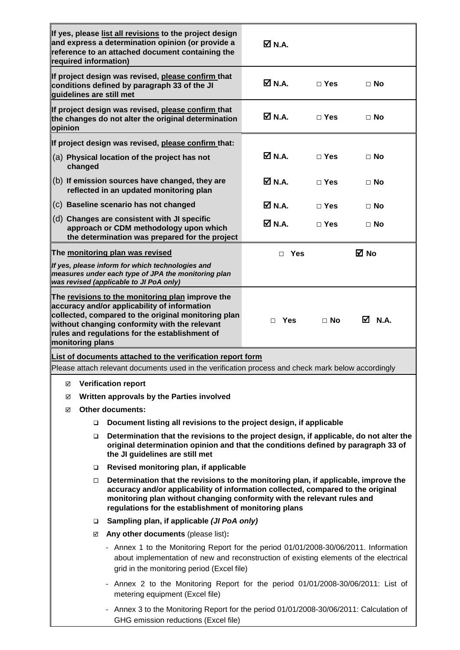| required information)                                                                                                                                                                                                                                                                                                 | If yes, please list all revisions to the project design<br>and express a determination opinion (or provide a<br>reference to an attached document containing the                                                                                           | $\boxtimes$ N.A.             |            |           |  |
|-----------------------------------------------------------------------------------------------------------------------------------------------------------------------------------------------------------------------------------------------------------------------------------------------------------------------|------------------------------------------------------------------------------------------------------------------------------------------------------------------------------------------------------------------------------------------------------------|------------------------------|------------|-----------|--|
| guidelines are still met                                                                                                                                                                                                                                                                                              | If project design was revised, please confirm that<br>conditions defined by paragraph 33 of the JI                                                                                                                                                         | <b>☑</b> N.A.                | $\Box$ Yes | $\Box$ No |  |
| opinion                                                                                                                                                                                                                                                                                                               | If project design was revised, please confirm that<br>the changes do not alter the original determination                                                                                                                                                  | Ø N.A.                       | $\Box$ Yes | $\Box$ No |  |
|                                                                                                                                                                                                                                                                                                                       | If project design was revised, please confirm that:                                                                                                                                                                                                        |                              |            |           |  |
| changed                                                                                                                                                                                                                                                                                                               | (a) Physical location of the project has not                                                                                                                                                                                                               | $\boxtimes$ N.A.             | $\Box$ Yes | $\Box$ No |  |
|                                                                                                                                                                                                                                                                                                                       | (b) If emission sources have changed, they are<br>reflected in an updated monitoring plan                                                                                                                                                                  | $\overline{\mathsf{M}}$ N.A. | $\Box$ Yes | $\Box$ No |  |
|                                                                                                                                                                                                                                                                                                                       | (c) Baseline scenario has not changed                                                                                                                                                                                                                      | $\overline{M}$ N.A.          | $\Box$ Yes | $\Box$ No |  |
|                                                                                                                                                                                                                                                                                                                       | (d) Changes are consistent with JI specific<br>approach or CDM methodology upon which<br>the determination was prepared for the project                                                                                                                    | <b>☑</b> N.A.                | $\Box$ Yes | $\Box$ No |  |
|                                                                                                                                                                                                                                                                                                                       | The monitoring plan was revised                                                                                                                                                                                                                            | $\Box$ Yes                   |            | ⊠ No      |  |
|                                                                                                                                                                                                                                                                                                                       | If yes, please inform for which technologies and<br>measures under each type of JPA the monitoring plan<br>was revised (applicable to JI PoA only)                                                                                                         |                              |            |           |  |
| monitoring plans                                                                                                                                                                                                                                                                                                      | The revisions to the monitoring plan improve the<br>accuracy and/or applicability of information<br>collected, compared to the original monitoring plan<br>without changing conformity with the relevant<br>rules and regulations for the establishment of | $\Box$ Yes                   | $\Box$ No  | ☑ N.A.    |  |
|                                                                                                                                                                                                                                                                                                                       | List of documents attached to the verification report form                                                                                                                                                                                                 |                              |            |           |  |
| Please attach relevant documents used in the verification process and check mark below accordingly                                                                                                                                                                                                                    |                                                                                                                                                                                                                                                            |                              |            |           |  |
| <b>Verification report</b><br>☑                                                                                                                                                                                                                                                                                       |                                                                                                                                                                                                                                                            |                              |            |           |  |
| Written approvals by the Parties involved<br>☑                                                                                                                                                                                                                                                                        |                                                                                                                                                                                                                                                            |                              |            |           |  |
| <b>Other documents:</b><br>☑                                                                                                                                                                                                                                                                                          |                                                                                                                                                                                                                                                            |                              |            |           |  |
|                                                                                                                                                                                                                                                                                                                       | Document listing all revisions to the project design, if applicable<br>□                                                                                                                                                                                   |                              |            |           |  |
| Determination that the revisions to the project design, if applicable, do not alter the<br>original determination opinion and that the conditions defined by paragraph 33 of<br>the JI guidelines are still met                                                                                                       |                                                                                                                                                                                                                                                            |                              |            |           |  |
| $\Box$                                                                                                                                                                                                                                                                                                                | Revised monitoring plan, if applicable                                                                                                                                                                                                                     |                              |            |           |  |
| Determination that the revisions to the monitoring plan, if applicable, improve the<br>$\Box$<br>accuracy and/or applicability of information collected, compared to the original<br>monitoring plan without changing conformity with the relevant rules and<br>regulations for the establishment of monitoring plans |                                                                                                                                                                                                                                                            |                              |            |           |  |
| $\Box$                                                                                                                                                                                                                                                                                                                | Sampling plan, if applicable (JI PoA only)                                                                                                                                                                                                                 |                              |            |           |  |
|                                                                                                                                                                                                                                                                                                                       | Any other documents (please list):<br>☑                                                                                                                                                                                                                    |                              |            |           |  |
| - Annex 1 to the Monitoring Report for the period 01/01/2008-30/06/2011. Information<br>about implementation of new and reconstruction of existing elements of the electrical<br>grid in the monitoring period (Excel file)                                                                                           |                                                                                                                                                                                                                                                            |                              |            |           |  |
| - Annex 2 to the Monitoring Report for the period 01/01/2008-30/06/2011: List of<br>metering equipment (Excel file)                                                                                                                                                                                                   |                                                                                                                                                                                                                                                            |                              |            |           |  |
| - Annex 3 to the Monitoring Report for the period 01/01/2008-30/06/2011: Calculation of<br>GHG emission reductions (Excel file)                                                                                                                                                                                       |                                                                                                                                                                                                                                                            |                              |            |           |  |